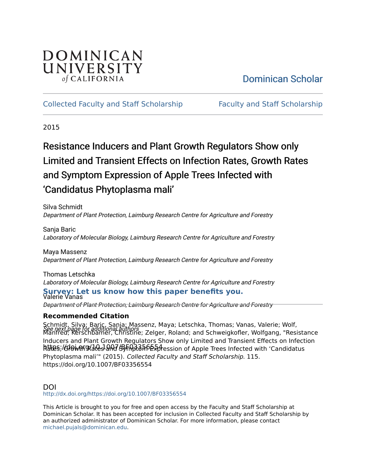## DOMINICAN UNIVERSITY of CALIFORNIA

## [Dominican Scholar](https://scholar.dominican.edu/)

## [Collected Faculty and Staff Scholarship](https://scholar.dominican.edu/all-faculty) [Faculty and Staff Scholarship](https://scholar.dominican.edu/faculty-scholarship)

2015

# Resistance Inducers and Plant Growth Regulators Show only Limited and Transient Effects on Infection Rates, Growth Rates and Symptom Expression of Apple Trees Infected with 'Candidatus Phytoplasma mali'

Silva Schmidt Department of Plant Protection, Laimburg Research Centre for Agriculture and Forestry

Sanja Baric Laboratory of Molecular Biology, Laimburg Research Centre for Agriculture and Forestry

## Maya Massenz

Department of Plant Protection, Laimburg Research Centre for Agriculture and Forestry

Thomas Letschka Laboratory of Molecular Biology, Laimburg Research Centre for Agriculture and Forestry

#### Valerie Vanas **[Survey: Let us know how this paper benefits you.](https://dominican.libwizard.com/dominican-scholar-feedback)**

Department of Plant Protection, Laimburg Research Centre for Agriculture and Forestry

## **Recommended Citation**

Schmidt, Silva; Baric, Sanja; Massenz, Maya; Letschka, Thomas; Vanas, Valerie; Wolf,<br>See next page for additional authors , Zalgar, Baland; and Schweigkeflar, Welfgang, "Dagi kbtes;/doi.org/ates and ጭኩን33566 Adession of Apple Trees Infected with 'Candidatus Manfred; Kerschbamer, Christine; Zelger, Roland; and Schweigkofler, Wolfgang, "Resistance Inducers and Plant Growth Regulators Show only Limited and Transient Effects on Infection Phytoplasma mali'" (2015). Collected Faculty and Staff Scholarship. 115. https://doi.org/10.1007/BF03356554

## DOI

<http://dx.doi.org/https://doi.org/10.1007/BF03356554>

This Article is brought to you for free and open access by the Faculty and Staff Scholarship at Dominican Scholar. It has been accepted for inclusion in Collected Faculty and Staff Scholarship by an authorized administrator of Dominican Scholar. For more information, please contact [michael.pujals@dominican.edu.](mailto:michael.pujals@dominican.edu)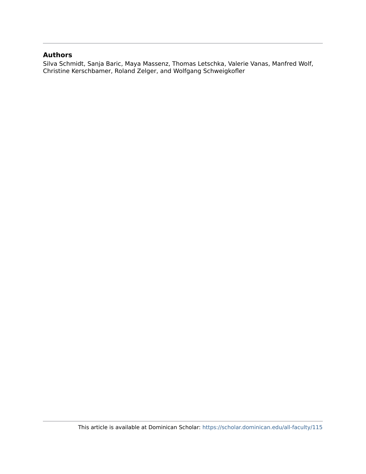### **Authors**

Silva Schmidt, Sanja Baric, Maya Massenz, Thomas Letschka, Valerie Vanas, Manfred Wolf, Christine Kerschbamer, Roland Zelger, and Wolfgang Schweigkofler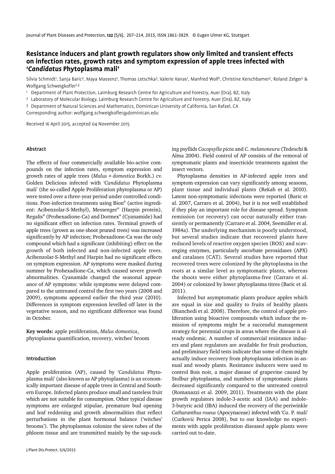# **Resistance inducers and plant growth regulators show only limited and transient effects on infection rates, growth rates and symptom expression of apple trees infected with '***Candidatus* **Phytoplasma mali'**

Silvia Schmidt<sup>1</sup>, Sanja Baric<sup>2</sup>, Maya Massenz<sup>1</sup>, Thomas Letschka<sup>2</sup>, Valerie Vanas<sup>1</sup>, Manfred Wolf<sup>1</sup>, Christine Kerschbamer<sup>2</sup>, Roland Zelger<sup>1</sup> & Wolfgang Schweigkofler<sup>1,3</sup>

1 Department of Plant Protection, Laimburg Research Centre for Agriculture and Forestry, Auer (Ora), BZ, Italy

2 Laboratory of Molecular Biology, Laimburg Research Centre for Agriculture and Forestry, Auer (Ora), BZ, Italy

3 Department of Natural Sciences and Mathematics, Dominican University of California, San Rafael, CA

Corresponding author: wolfgang.schweigkofler@dominican.edu

Received 16 April 2015, accepted 04 November 2015

#### Abstract

The effects of four commercially available bio-active compounds on the infection rates, symptom expression and growth rates of apple trees (*Malus × domestica* Borkh.) cv. Golden Delicious infected with '*Candidatus* Phytoplasma mali' (the so-called Apple Proliferation phytoplasma or AP) were tested over a three-year period under controlled conditions. Post-infection treatments using Bion® (active ingredient: Acibenzolar-S-Methyl), Messenger® (Harpin protein), Regalis® (Prohexadione-Ca) and Dormex® (Cyanamide) had no significant effect on infection rates. Terminal growth of apple trees (grown as one-shoot pruned trees) was increased significantly by AP infection; Prohexadione-Ca was the only compound which had a significant (inhibiting) effect on the growth of both infected and non-infected apple trees. Acibenzolar-S-Methyl and Harpin had no significant effects on symptom expression. AP symptoms were masked during summer by Prohexadione-Ca, which caused severe growth abnormalities. Cyanamide changed the seasonal appearance of AP symptoms: while symptoms were delayed compared to the untreated control the first two years (2008 and 2009), symptoms appeared earlier the third year (2010). Differences in symptom expression levelled off later in the vegetative season, and no significant difference was found in October.

**Key words:** apple proliferation, *Malus domestica*, phytoplasma quantification, recovery, witches' broom

#### Introduction

Apple proliferation (AP), caused by '*Candidatus* Phytoplasma mali' (also known as AP phytoplasma) is an economically important disease of apple trees in Central and Southern Europe. Infected plants produce small and tasteless fruit which are not suitable for consumption. Other typical disease symptoms are enlarged stipulae, premature bud opening and leaf reddening and growth abnormalities that reflect perturbations in the plant hormonal balance ('witches' brooms'). The phytoplasmas colonize the sieve tubes of the phloem tissue and are transmitted mainly by the sap-sucking psyllids *Cacopsylla picta* and *C. melanoneura* (Tedeschi & Alma 2004). Field control of AP consists of the removal of symptomatic plants and insecticide treatments against the insect vectors.

Phytoplasma densities in AP-infected apple trees and symptom expression can vary significantly among seasons, plant tissue and individual plants (Rekab et al. 2010). Latent non-symptomatic infections were reported (Baric et al. 2007, Carraro et al. 2004), but it is not well established if they play an important role for disease spread. Symptom remission (or recovery) can occur naturally either transiently or permanently (Carraro et al. 2004, Seemüller et al. 1984a). The underlying mechanism is poorly understood, but several studies indicate that recovered plants have reduced levels of reactive oxygen species (ROS) and scavenging enzymes, particularly ascorbate peroxidases (APX) and catalases (CAT). Several studies have reported that recovered trees were colonized by the phytoplasma in the roots at a similar level as symptomatic plants, whereas the shoots were either phytoplasma-free (Carraro et al. 2004) or colonized by lower phytoplasma titres (Baric et al. 2011).

Infected but asymptomatic plants produce apples which are equal in size and quality to fruits of healthy plants (Bianchedi et al. 2008). Therefore, the control of apple proliferation using bioactive compounds which induce the remission of symptoms might be a successful management strategy for perennial crops in areas where the disease is already endemic. A number of commercial resistance inducers and plant regulators are available for fruit production, and preliminary field tests indicate that some of them might actually induce recovery from phytoplasma infection in annual and woody plants. Resistance inducers were used to control Bois noir, a major disease of grapevine caused by Stolbur phytoplasma, and numbers of symptomatic plants decreased significantly compared to the untreated control (Romanazzi et al. 2009, 2011). Treatments with the plant growth regulators indole-3-acetic acid (IAA) and indole-3-butyric acid (IBA) induced the recovery of the periwinkle *Catharanthus roseus* (Apocynaceae) infected with '*Ca.* P. mali' (Curković Perica 2008), but to our knowledge no experiments with apple proliferation diseased apple plants were carried out to-date.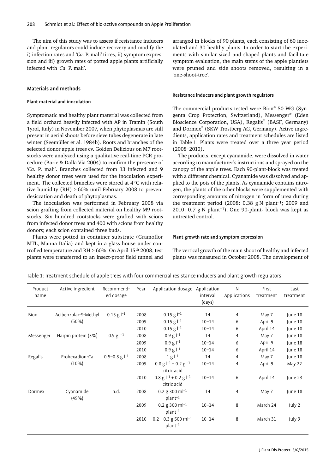The aim of this study was to assess if resistance inducers and plant regulators could induce recovery and modify the i) infection rates and '*Ca.* P. mali' titres, ii) symptom expression and iii) growth rates of potted apple plants artificially infected with '*Ca.* P. mali'.

#### Materials and methods

#### Plant material and inoculation

Symptomatic and healthy plant material was collected from a field orchard heavily infected with AP in Tramin (South Tyrol, Italy) in November 2007, when phytoplasmas are still present in aerial shoots before sieve tubes degenerate in late winter (Seemüller et al. 1984b). Roots and branches of the selected donor apple trees cv. Golden Delicious on M7 rootstocks were analyzed using a qualitative real-time PCR procedure (Baric & Dalla Via 2004) to confirm the presence of '*Ca.* P. mali'. Branches collected from 13 infected and 9 healthy donor trees were used for the inoculation experiment. The collected branches were stored at 4°C with relative humidity (RH) > 60% until February 2008 to prevent desiccation and death of phytoplasmas.

The inoculation was performed in February 2008 via scion grafting from collected material on healthy M9 rootstocks. Six hundred rootstocks were grafted with scions from infected donor trees and 400 with scions from healthy donors; each scion contained three buds.

Plants were potted in container substrate (Gramoflor MTL, Manna Italia) and kept in a glass house under controlled temperature and RH > 60%. On April 15th 2008, test plants were transferred to an insect-proof field tunnel and arranged in blocks of 90 plants, each consisting of 60 inoculated and 30 healthy plants. In order to start the experiments with similar sized and shaped plants and facilitate symptom evaluation, the main stems of the apple plantlets were pruned and side shoots removed, resulting in a 'one-shoot-tree'.

#### Resistance inducers and plant growth regulators

The commercial products tested were Bion® 50 WG (Syngenta Crop Protection, Switzerland), Messenger® (Eden Bioscience Corporation, USA), Regalis® (BASF, Germany) and Dormex® (SKW Trostberg AG, Germany). Active ingredients, application rates and treatment schedules are listed in Table 1. Plants were treated over a three year period (2008–2010).

The products, except cyanamide, were dissolved in water according to manufacturer's instructions and sprayed on the canopy of the apple trees. Each 90-plant-block was treated with a different chemical. Cyanamide was dissolved and applied to the pots of the plants. As cyanamide contains nitrogen, the plants of the other blocks were supplemented with corresponding amounts of nitrogen in form of urea during the treatment period (2008: 0.38 g N plant<sup>-1</sup>; 2009 and 2010: 0.7 g N plant–1). One 90-plant- block was kept as untreated control.

#### Plant growth rate and symptom expression

The vertical growth of the main shoot of healthy and infected plants was measured in October 2008. The development of

| Product<br>name | Active ingredient    | Recommend-<br>ed dosage | Year | Application dosage Application                                       | interval  | N<br>Applications | First<br>treatment | Last<br>treatment |
|-----------------|----------------------|-------------------------|------|----------------------------------------------------------------------|-----------|-------------------|--------------------|-------------------|
|                 |                      |                         |      |                                                                      | (days)    |                   |                    |                   |
| Bion            | Acibenzolar-S-Methyl | $0.15$ g $-1$           | 2008 | $0.15$ g $-1$                                                        | 14        | 4                 | May 7              | June 18           |
|                 | (50%)                |                         | 2009 | $0.15$ g $ ^{-1}$                                                    | $10 - 14$ | 6                 | April 9            | June 18           |
|                 |                      |                         | 2010 | $0.15$ g $\mathsf{I}^{-1}$                                           | $10 - 14$ | 6                 | April 14           | June 18           |
| Messenger       | Harpin protein (3%)  | $0.9 g$  -1             | 2008 | $0.9 g$  -1                                                          | 14        | 4                 | May 7              | June 18           |
|                 |                      |                         | 2009 | $0.9 g$ $^{-1}$                                                      | $10 - 14$ | 6                 | April 9            | June 18           |
|                 |                      |                         | 2010 | $0.9 g$  -1                                                          | $10 - 14$ | 6                 | April 14           | June 18           |
| Regalis         | Prohexadion-Ca       | $0.5 - 0.8$ g $-1$      | 2008 | $1 g$ $^{-1}$                                                        | 14        | 4                 | May 7              | June 18           |
|                 | (10%)                |                         | 2009 | $0.8$ g $\lceil -1 + 0.2 \rceil$ g $\lceil -1 \rceil$<br>citric acid | $10 - 14$ | 4                 | April 9            | May 22            |
|                 |                      |                         | 2010 | $0.8 g$  -1 + 0.2 g  -1<br>citric acid                               | $10 - 14$ | 6                 | April 14           | June 23           |
| Dormex          | Cyanamide<br>(49%)   | n.d.                    | 2008 | $0.2$ g 300 ml <sup>-1</sup><br>$plant^{-1}$                         | 14        | 4                 | May 7              | June 18           |
|                 |                      |                         | 2009 | $0.2$ g 300 ml <sup>-1</sup><br>$plant^{-1}$                         | $10 - 14$ | 8                 | March 24           | July 2            |
|                 |                      |                         | 2010 | $0.2 - 0.3$ g 500 ml <sup>-1</sup><br>plant <sup>-1</sup>            | $10 - 14$ | 8                 | March 31           | July 9            |

Table 1: Treatment schedule of apple trees with four commercial resistance inducers and plant growth regulators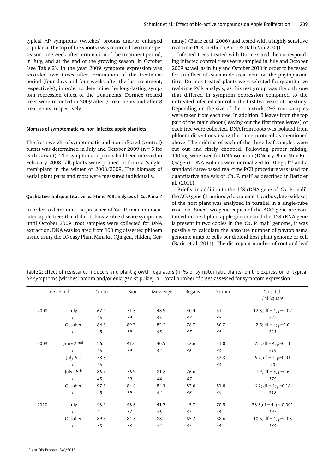typical AP symptoms (witches' brooms and/or enlarged stipulae at the top of the shoots) was recorded two times per season: one week after termination of the treatment period, in July, and at the end of the growing season, in October (see Table 2). In the year 2009 symptom expression was recorded two times after termination of the treatment period (four days and four weeks after the last treatment, respectively), in order to determine the long-lasting symptom repression effect of the treatments. Dormex treated trees were recorded in 2009 after 7 treatments and after 8 treatments, respectively.

#### Biomass of symptomatic vs. non-infected apple plantlets

The fresh weight of symptomatic and non-infected (control) plants was determined in July and October 2009 (n = 5 for each variant). The symptomatic plants had been infected in February 2008; all plants were pruned to form a 'singlestem'-plant in the winter of 2008/2009. The biomass of aerial plant parts and roots were measured individually.

#### Qualitative and quantitative real-time PCR analyses of '*Ca.* P. mali'

In order to determine the presence of *'Ca.* P. mali' in inoculated apple trees that did not show visible disease symptoms until October 2009, root samples were collected for DNA extraction. DNA was isolated from 100 mg dissected phloem tissue using the DNeasy Plant Mini Kit (Qiagen, Hilden, Germany) (Baric et al. 2006) and tested with a highly sensitive real-time PCR method (Baric & Dalla Via 2004).

Infected trees treated with Dormex and the corresponding infected control trees were sampled in July and October 2009 as well as in July and October 2010 in order to be tested for an effect of cyanamide treatment on the phytoplasma titre. Dormex-treated plants were selected for quantitative real-time PCR analysis, as this test group was the only one that differed in symptom expression compared to the untreated infected control in the first two years of the study. Depending on the size of the rootstock, 2–3 root samples were taken from each tree. In addition, 3 leaves from the top part of the main shoot (leaving out the first three leaves) of each tree were collected. DNA from roots was isolated from phloem dissections using the same protocol as mentioned above. The midribs of each of the three leaf samples were cut out and finely chopped. Following proper mixing, 100 mg were used for DNA isolation (DNeasy Plant Mini Kit, Qiagen). DNA isolates were normalized to 10 ng  $\mu$ l<sup>-1</sup> and a standard curve-based real-time PCR procedure was used for quantitative analysis of '*Ca*. P. mali' as described in Baric et al. (2011).

Briefly, in addition to the 16S rDNA gene of '*Ca*. P. mali', the ACO gene (1-aminocyclopropene-1-carboxylate oxidase) of the host plant was analyzed in parallel in a single-tube reaction. Since two gene copies of the ACO gene are contained in the diploid apple genome and the 16S rRNA gene is present in two copies in the '*Ca*. P. mali' genome, it was possible to calculate the absolute number of phytoplasma genomic units or cells per diploid host plant genome or cell (Baric et al. 2011). The discrepant number of root and leaf

Table 2: Effect of resistance inducers and plant growth regulators (in % of symptomatic plants) on the expression of typical AP symptoms (witches' broom and/or enlarged stipulae). n = total number of trees assessed for symptom expression.

| Time period |              | Control | Bion | Messenger | Regalis | Dormex | Crosstab<br>Chi Square    |  |
|-------------|--------------|---------|------|-----------|---------|--------|---------------------------|--|
| 2008        | July         | 67.4    | 71.8 | 48.9      | 40.4    | 51.1   | 12.3; $df = 4$ ; $p=0.02$ |  |
|             | $\mathsf{n}$ | 46      | 39   | 45        | 47      | 45     | 222                       |  |
|             | October      | 84.8    | 89.7 | 82.2      | 78.7    | 86.7   | 2.5; $df = 4$ ; $p=0.6$   |  |
|             | $\sqrt{n}$   | 45      | 39   | 45        | 47      | 45     | 221                       |  |
| 2009        | June 22nd    | 56.5    | 41.0 | 40.9      | 32.6    | 31.8   | 7.5; $df = 4$ ; $p=0.11$  |  |
|             | $\mathsf{n}$ | 46      | 39   | 44        | 46      | 44     | 219                       |  |
|             | July 6th     | 78.3    |      |           |         | 52.3   | 6.7; $df = 1$ ; $p=0.01$  |  |
|             | $\mathsf{n}$ | 46      |      |           |         | 44     | 90                        |  |
|             | July 15th    | 86.7    | 76.9 | 81.8      | 76.6    |        | 1.9; $df = 3$ ; $p=0.6$   |  |
|             | $\mathsf{n}$ | 45      | 39   | 44        | 47      |        | 175                       |  |
|             | October      | 97.8    | 84.6 | 84.1      | 87.0    | 81.8   | 6.2; $df = 4$ ; $p=0.18$  |  |
|             | $\mathsf{n}$ | 45      | 39   | 44        | 46      | 44     | 218                       |  |
| 2010        | July         | 43.9    | 48.6 | 41.7      | 5.7     | 70.5   | 33.8; df = 4; $p$ < 0.001 |  |
|             | n            | 41      | 37   | 36        | 35      | 44     | 193                       |  |
|             | October      | 89.5    | 84.8 | 88.2      | 65.7    | 88.6   | 10.5; $df = 4$ ; $p=0.03$ |  |
|             | $\mathsf{n}$ | 38      | 33   | 34        | 35      | 44     | 184                       |  |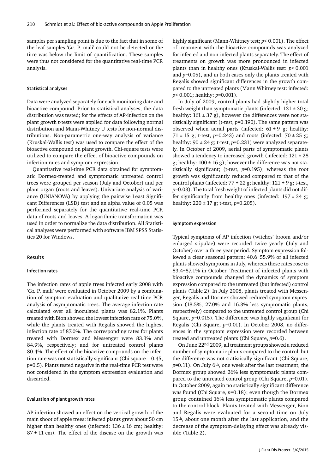samples per sampling point is due to the fact that in some of the leaf samples '*Ca*. P. mali' could not be detected or the titre was below the limit of quantification. These samples were thus not considered for the quantitative real-time PCR analysis.

#### Statistical analyses

Data were analyzed separately for each monitoring date and bioactive compound. Prior to statistical analyses, the data distribution was tested; for the effects of AP-infection on the plant growth t-tests were applied for data following normal distribution and Mann-Whitney U tests for non-normal distributions. Non-parametric one-way analysis of variance (Kruskal-Wallis test) was used to compare the effect of the bioactive compound on plant growth. Chi-square tests were utilized to compare the effect of bioactive compounds on infection rates and symptom expression.

Quantitative real-time PCR data obtained for symptomatic Dormex-treated and symptomatic untreated control trees were grouped per season (July and October) and per plant organ (roots and leaves). Univariate analysis of variance (UNIANOVA) by applying the pairwise Least Significant Differences (LSD) test and an alpha value of 0.05 was performed separately for the quantitative real-time PCR data of roots and leaves. A logarithmic transformation was used in order to normalize the data distribution. All Statistical analyses were performed with software IBM SPSS Statistics 20 for Windows.

#### Results

#### Infection rates

The infection rates of apple trees infected early 2008 with *'Ca.* P. mali' were evaluated in October 2009 by a combination of symptom evaluation and qualitative real-time PCR analysis of asymptomatic trees. The average infection rate calculated over all inoculated plants was 82.1%. Plants treated with Bion showed the lowest infection rate of 75.0%, while the plants treated with Regalis showed the highest infection rate of 87.0%. The corresponding rates for plants treated with Dormex and Messenger were 83.3% and 84.9%, respectively; and for untreated control plants 80.4%. The effect of the bioactive compounds on the infection rate was not statistically significant (Chi square = 0.45, *p*=0.5). Plants tested negative in the real-time PCR test were not considered in the symptom expression evaluation and discarded.

#### Evaluation of plant growth rates

AP infection showed an effect on the vertical growth of the main shoot of apple trees: infected plants grew about 50 cm higher than healthy ones (infected:  $136 \pm 16$  cm; healthy:  $87 \pm 11$  cm). The effect of the disease on the growth was

highly significant (Mann-Whitney test; *p*< 0.001). The effect of treatment with the bioactive compounds was analyzed for infected and non-infected plants separately. The effect of treatments on growth was more pronounced in infected plants than in healthy ones (Kruskal-Wallis test: *p*< 0.001 and *p*=0.05), and in both cases only the plants treated with Regalis showed significant differences in the growth compared to the untreated plants (Mann Whitney test: infected: *p*< 0.001; healthy: *p*=0.001).

In July of 2009, control plants had slightly higher total fresh weight than symptomatic plants (infected:  $131 \pm 30$  g; healthy:  $161 \pm 37$  g), however the differences were not statistically significant (t-test, *p*=0.190). The same pattern was observed when aerial parts (infected:  $61 \pm 9$  g; healthy: 71 ± 15 g; t-test, *p*=0.243) and roots (infected: 70 ± 25 g; healthy: 90 ± 24 g; t-test, *p*=0.231) were analyzed separately. In October of 2009, aerial parts of symptomatic plants showed a tendency to increased growth (infected: 121 ± 28 g; healthy:  $100 \pm 16$  g); however the difference was not statistically significant; (t-test, *p*=0.195); whereas the root growth was significantly reduced compared to that of the control plants (infected:  $77 \pm 22$  g; healthy:  $121 \pm 9$  g; t-test, *p*=0.03). The total fresh weight of infected plants did not differ significantly from healthy ones (infected:  $197 \pm 34$  g; healthy: 220 ± 17 g; t-test, *p*=0.205).

#### Symptom expression

Typical symptoms of AP infection (witches' broom and/or enlarged stipulae) were recorded twice yearly (July and October) over a three year period. Symptom expression followed a clear seasonal pattern: 40.6–55.9% of all infected plants showed symptoms in July, whereas these rates rose to 83.4–87.1% in October. Treatment of infected plants with bioactive compounds changed the dynamics of symptom expression compared to the untreated (but infected) control plants (Table 2). In July 2008, plants treated with Messenger, Regalis and Dormex showed reduced symptom expression (18.5%, 27.0% and 16.3% less symptomatic plants, respectively) compared to the untreated control group (Chi Square, *p*=0.015). The difference was highly significant for Regalis (Chi Square, *p*=0.01). In October 2008, no differences in the symptom expression were recorded between treated and untreated plants (Chi Square, *p*=0.6).

On June 22nd 2009, all treatment groups showed a reduced number of symptomatic plants compared to the control, but the difference was not statistically significant (Chi Square, *p*=0.11). On July 6<sup>th</sup>, one week after the last treatment, the Dormex group showed 26% less symptomatic plants compared to the untreated control group (Chi Square, *p*=0.01). In October 2009, again no statistically significant difference was found (Chi Square,  $p=0.18$ ); even though the Dormex group contained 16% less symptomatic plants compared to the control block. Plants treated with Messenger, Bion and Regalis were evaluated for a second time on July 15th, about one month after the last application, and the decrease of the symptom-delaying effect was already visible (Table 2).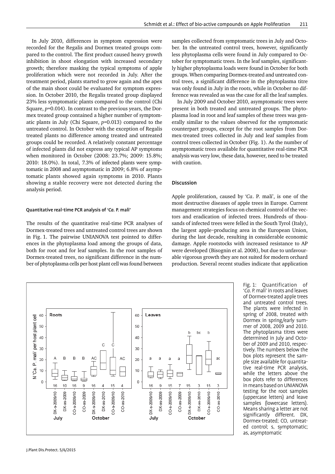In July 2010, differences in symptom expression were recorded for the Regalis and Dormex treated groups compared to the control. The first product caused heavy growth inhibition in shoot elongation with increased secondary growth; therefore masking the typical symptoms of apple proliferation which were not recorded in July. After the treatment period, plants started to grow again and the apex of the main shoot could be evaluated for symptom expression. In October 2010, the Regalis treated group displayed 23% less symptomatic plants compared to the control (Chi Square, *p*=0.014). In contrast to the previous years, the Dormex treated group contained a higher number of symptomatic plants in July (Chi Square, *p*=0.013) compared to the untreated control. In October with the exception of Regalis treated plants no difference among treated and untreated groups could be recorded. A relatively constant percentage of infected plants did not express any typical AP symptoms when monitored in October (2008: 23.7%; 2009: 15.8%; 2010: 18.0%). In total, 7.3% of infected plants were symptomatic in 2008 and asymptomatic in 2009; 6.8% of asymptomatic plants showed again symptoms in 2010. Plants showing a stable recovery were not detected during the analysis period.

#### Quantitative real-time PCR analysis of '*Ca.* P. mali'

The results of the quantitative real-time PCR analyses of Dormex-treated trees and untreated control trees are shown in Fig. 1. The pairwise UNIANOVA test pointed to differences in the phytoplasma load among the groups of data, both for root and for leaf samples. In the root samples of Dormex-treated trees, no significant difference in the number of phytoplasma cells per host plant cell was found between samples collected from symptomatic trees in July and October. In the untreated control trees, however, significantly less phytoplasma cells were found in July compared to October for symptomatic trees. In the leaf samples, significantly higher phytoplasma loads were found in October for both groups. When comparing Dormex-treated and untreated control trees, a significant difference in the phytoplasma titre was only found in July in the roots, while in October no difference was revealed as was the case for all the leaf samples.

In July 2009 and October 2010, asymptomatic trees were present in both treated and untreated groups. The phytoplasma load in root and leaf samples of these trees was generally similar to the values observed for the symptomatic counterpart groups, except for the root samples from Dormex-treated trees collected in July and leaf samples from control trees collected in October (Fig. 1). As the number of asymptomatic trees available for quantitative real-time PCR analysis was very low, these data, however, need to be treated with caution.

#### Discussion

Apple proliferation, caused by '*Ca*. P. mali', is one of the most destructive diseases of apple trees in Europe. Current management strategies focus on chemical control of the vectors and eradication of infected trees. Hundreds of thousands of infected trees were felled in the South Tyrol (Italy), the largest apple–producing area in the European Union, during the last decade, resulting in considerable economic damage. Apple rootstocks with increased resistance to AP were developed (Bisognin et al. 2008), but due to unfavourable vigorous growth they are not suited for modern orchard production. Several recent studies indicate that application



Fig. 1: Quantification of '*Ca*. P. mali' in roots and leaves of Dormex-treated apple trees and untreated control trees. The plants were infected in spring of 2008, treated with Dormex in spring/early summer of 2008, 2009 and 2010. The phytoplasma titres were determined in July and October of 2009 and 2010, respectively. The numbers below the box plots represent the sample size available for quantitative real-time PCR analysis, while the letters above the box plots refer to differences in means based on UNIANOVA testing for the root samples (uppercase letters) and leave samples (lowercase letters). Means sharing a letter are not significantly different. DX, Dormex-treated; CO, untreated control; s, symptomatic; as, asymptomatic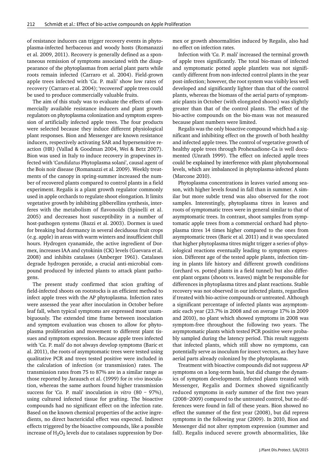of resistance inducers can trigger recovery events in phytoplasma-infected herbaceous and woody hosts (Romanazzi et al. 2009, 2011). Recovery is generally defined as a spontaneous remission of symptoms associated with the disappearance of the phytoplasmas from aerial plant parts while roots remain infected (Carraro et al. 2004). Field-grown apple trees infected with '*Ca.* P. mali' show low rates of recovery (Carraro et al. 2004); 'recovered' apple trees could be used to produce commercially valuable fruits.

The aim of this study was to evaluate the effects of commercially available resistance inducers and plant growth regulators on phytoplasma colonization and symptom expression of artificially infected apple trees. The four products were selected because they induce different physiological plant responses. Bion and Messenger are known resistance inducers, respectively activating SAR and hypersensitive reaction (HR) (Vallad & Goodman 2004, Wei & Betz 2007). Bion was used in Italy to induce recovery in grapevines infected with '*Candidatus* Phytoplasma solani', causal agent of the Bois noir disease (Romanazzi et al. 2009). Weekly treatments of the canopy in spring-summer increased the number of recovered plants compared to control plants in a field experiment. Regalis is a plant growth regulator commonly used in apple orchards to regulate shoot elongation. It limits vegetative growth by inhibiting gibberellins synthesis, interferes with the metabolism of flavonoids (Spinelli et al. 2005) and decreases host susceptibility in a number of host-pathogen systems (Bazzi et al. 2003). Dormex is used for breaking bud dormancy in several deciduous fruit crops (e.g. apple) in areas with warm winters and insufficient chill hours. Hydrogen cyanamide, the active ingredient of Dormex, increases IAA and cytokinin (CK) levels (Guevara et al. 2008) and inhibits catalases (Amberger 1961). Catalases degrade hydrogen peroxide, a crucial anti-microbial compound produced by infected plants to attack plant pathogens.

The present study confirmed that scion grafting of field-infected shoots on rootstocks is an efficient method to infect apple trees with the AP phytoplasma. Infection rates were assessed the year after inoculation in October before leaf fall, when typical symptoms are expressed most unambiguously. The extended time frame between inoculation and symptom evaluation was chosen to allow for phytoplasma proliferation and movement to different plant tissues and symptom expression. Because apple trees infected with '*Ca.* P. mali' do not always develop symptoms (Baric et al. 2011), the roots of asymptomatic trees were tested using qualitative PCR and trees tested positive were included in the calculation of infection (or transmission) rates. The transmission rates from 75 to 87% are in a similar range as those reported by Jarausch et al. (1999) for *in vivo* inoculation, whereas the same authors found higher transmission success for '*Ca.* P. mali' inoculation *in vitro* (80 – 97%), using cultured infected tissue for grafting. The bioactive compounds had no significant effect on the infection rate. Based on the known chemical properties of the active ingredients, no direct bactericidal effect was expected. Indirect effects triggered by the bioactive compounds, like a possible increase of  $H_2O_2$  levels due to catalases suppression by Dormex or growth abnormalities induced by Regalis, also had no effect on infection rates.

Infection with '*Ca.* P. mali' increased the terminal growth of apple trees significantly. The total bio-mass of infected and symptomatic potted apple plantlets was not significantly different from non-infected control plants in the year post-infection; however, the root system was visibly less well developed and significantly lighter than that of the control plants, whereas the biomass of the aerial parts of symptomatic plants in October (with elongated shoots) was slightly greater than that of the control plants. The effect of the bio-active compounds on the bio-mass was not measured because plant numbers were limited.

Regalis was the only bioactive compound which had a significant and inhibiting effect on the growth of both healthy and infected apple trees. The control of vegetative growth of healthy apple trees through Prohexadione-Ca is well documented (Unrath 1999). The effect on infected apple trees could be explained by interference with plant phytohormonal levels, which are imbalanced in phytoplasma-infected plants (Marcone 2010).

Phytoplasma concentrations in leaves varied among season, with higher levels found in fall than in summer. A similar but more subtle trend was also observed for the root samples. Interestingly, phytoplasma titres in leaves and roots of symptomatic trees were in general similar to that of asymptomatic trees. In contrast, shoot samples from symptomatic apple trees from a commercial orchard had phytoplasma titres 14 times higher compared to the ones from asymptomatic trees (Baric et al. 2011) and it was speculated that higher phytoplasma titres might trigger a series of physiological reactions eventually leading to symptom expression. Different age of the tested apple plants, infection timing in plants life history and different growth conditions (orchard vs. potted plants in a field tunnel) but also different plant organs (shoots vs. leaves) might be responsible for differences in phytoplasma titres and plant reactions. Stable recovery was not observed in our infected plants, regardless if treated with bio-active compounds or untreated. Although a significant percentage of infected plants was asymptomatic each year (23.7% in 2008 and on average 17% in 2009 and 2010), no plant which showed symptoms in 2008 was symptom-free throughout the following two years. The asymptomatic plants which tested PCR positive were probably sampled during the latency period. This result suggests that infected plants, which still show no symptoms, can potentially serve as inoculum for insect vectors, as they have aerial parts already colonized by the phytoplasma.

Treatment with bioactive compounds did not suppress AP symptoms on a long-term basis, but did change the dynamics of symptom development. Infected plants treated with Messenger, Regalis and Dormex showed significantly reduced symptoms in early summer of the first two years (2008–2009) compared to the untreated control, but no differences were found in fall of these years. Bion showed no effect the summer of the first year (2008), but did repress symptoms in the following year (2009). In 2010, Bion and Messenger did not alter symptom expression (summer and fall). Regalis induced severe growth abnormalities, like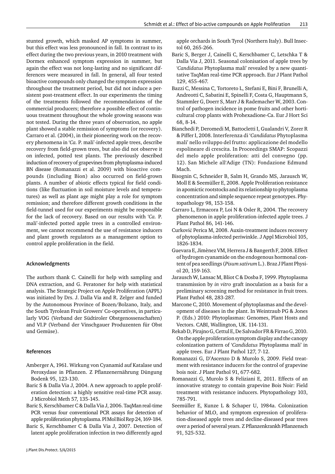stunted growth, which masked AP symptoms in summer, but this effect was less pronounced in fall. In contrast to its effect during the two previous years, in 2010 treatment with Dormex enhanced symptom expression in summer, but again the effect was not long-lasting and no significant differences were measured in fall. In general, all four tested bioactive compounds only changed the symptom expression throughout the treatment period, but did not induce a persistent post-treatment effect. In our experiments the timing of the treatments followed the recommendations of the commercial producers; therefore a possible effect of continuous treatment throughout the whole growing seasons was not tested. During the three years of observation, no apple plant showed a stable remission of symptoms (or recovery). Carraro et al. (2004), in their pioneering work on the recovery phenomena in '*Ca.* P. mali'-infected apple trees, describe recovery from field-grown trees, but also did not observe it on infected, potted test plants. The previously described induction of recovery of grapevines from phytoplasma-induced BN disease (Romanazzi et al. 2009) with bioactive compounds (including Bion) also occurred on field-grown plants. A number of abiotic effects typical for field conditions (like fluctuation in soil moisture levels and temperatures) as well as plant age might play a role for symptom remission; and therefore different growth conditions in the field-tunnel used for our experiments might be responsible for the lack of recovery. Based on our results with '*Ca.* P. mali'-infected potted apple trees in a controlled environment, we cannot recommend the use of resistance inducers and plant growth regulators as a management option to control apple proliferation in the field.

#### Acknowledgments

The authors thank C. Cainelli for help with sampling and DNA extraction, and G. Peratoner for help with statistical analysis. The Strategic Project on Apple Proliferation (APPL) was initiated by Drs. J. Dalla Via and R. Zelger and funded by the Autonomous Province of Bozen/Bolzano, Italy, and the South Tyrolean Fruit Growers' Co-operatives, in particularly VOG (Verband der Südtiroler Obstgenossenschaften) and VI.P (Verband der Vinschgauer Produzenten für Obst und Gemüse).

#### References

- Amberger A, 1961. Wirkung von Cyanamid auf Katalase und Peroxydase in Pflanzen. Z Pflanzenernährung Düngung Bodenk 95, 123-130.
- Baric S & Dalla Via J, 2004. A new approach to apple proliferation detection: a highly sensitive real-time PCR assay. J Microbiol Meth 57, 135-145.
- Baric S, Kerschbamer C & Dalla Via J, 2006. TaqMan real-time PCR versus four conventional PCR assays for detection of apple proliferation phytoplasma. Pl Mol Biol Rep 24, 169-184.

Baric S, Kerschbamer C & Dalla Via J, 2007. Detection of latent apple proliferation infection in two differently aged apple orchards in South Tyrol (Northern Italy). Bull Insectol 60, 265-266.

- Baric S, Berger J, Cainelli C, Kerschbamer C, Letschka T & Dalla Via J, 2011. Seasonal colonisation of apple trees by '*Candidatus* Phytoplasma mali' revealed by a new quantitative TaqMan real-time PCR approach. Eur J Plant Pathol 129, 455-467.
- Bazzi C, Messina C, Tortoreto L, Stefani E, Bini F, Brunelli A, Andreotti C, Sabatini E, Spinelli F, Costa G, Hauptmann S, Stammler G, Doerr S, Marr J & Rademacher W, 2003. Control of pathogen incidence in pome fruits and other horticultural crop plants with Prohexadione-Ca. Eur J Hort Sci 68, 8-14.
- Bianchedi P, Deromedi M, Battocletti I, Gualandri V, Zorer R & Piffer I, 2008. Interferenza di '*Candidatus* Phytoplasma mali' nello sviluppo del frutto: applicazione del modello espolineare di crescita. In Proceedings SMAP: Scopazzi del melo apple proliferation: atti del convegno (pp. 12). San Michele all'Adige (TN): Fondazione Edmund Mach.
- Bisognin C, Schneider B, Salm H, Grando MS, Jarausch W, Moll E & Seemüller E, 2008. Apple Proliferation resistance in apomictic rootstocks and its relationship to phytoplasma concentration and simple sequence repeat genotypes. Phytopathology 98, 153-158.
- Carraro L, Ermacora P, Loi N & Osler R, 2004. The recovery phenomenon in apple proliferation-infected apple trees. J Plant Pathol 86, 141-146.
- Curković Perica M, 2008. Auxin-treatment induces recovery of phytoplasma-infected periwinkle. J Appl Microbiol 105, 1826-1834.
- Guevara E, Jimènez VM, Herrera J & Bangerth F, 2008. Effect of hydrogen cyanamide on the endogenous hormonal content of pea seedlings (*Pisum sativum* L.). Braz J Plant Physiol 20, 159-163.
- Jarausch W, Lansac M, Bliot C & Dosba F, 1999. Phytoplasma transmission by *in vitro* graft inoculation as a basis for a preliminary screening method for resistance in fruit trees. Plant Pathol 48, 283-287.
- Marcone C, 2010. Movement of phytoplasmas and the development of diseases in the plant. In Weintraub PG & Jones P. (Eds.) 2010: Phytoplasmas: Genomes, Plant Hosts and Vectors. CABI, Wallington, UK. 114-131.
- Rekab D, Pirajno G, Cettul E, De Salvador FR & Firrao G, 2010. On the apple proliferation symptom display and the canopy colonization pattern of '*Candidatus* Phytoplasma mali' in apple trees. Eur J Plant Pathol 127, 7-12.
- Romanazzi G, D'Ascenzo D & Murolo S, 2009. Field treatment with resistance inducers for the control of grapevine bois noir. J Plant Pathol 91, 677-682.
- Romanazzi G, Murolo S & Feliziani E, 2011. Effects of an innovative strategy to contain grapevine Bois Noir: Field treatment with resistance inducers. Phytopathology 103, 785-791.
- Seemüller E, Kunze L & Schaper U, 1984a. Colonization behavior of MLO, and symptom expression of proliferation-diseased apple trees and decline-diseased pear trees over a period of several years. Z Pflanzenkrankh Pflanzensch 91, 525-532.